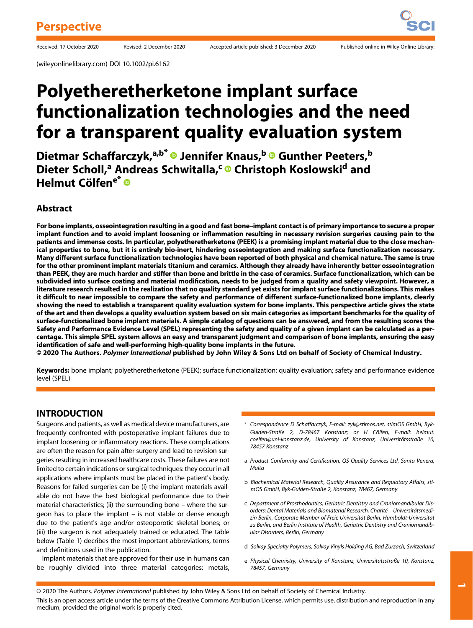(wileyonlinelibrary.com) DOI 10.1002/pi.6162

# Polyetheretherketone implant surface functionalization technologies and the need for a transparent quality evaluation system

Dietmar Schaffarczyk,<sup>a,b\*</sup> ® Jennifer Knaus,<sup>b</sup> ® Gunther Peeters,<sup>b</sup> Dieter Scholl,<sup>a</sup> Andreas Schwitalla,<sup>c</sup> © Christoph Koslowski<sup>d</sup> and Helmut Cölfen<sup>e\*</sup> ®

#### Abstract

For bone implants, osseointegration resulting in a good and fast bone–implant contact is of primary importance to secure a proper implant function and to avoid implant loosening or inflammation resulting in necessary revision surgeries causing pain to the patients and immense costs. In particular, polyetheretherketone (PEEK) is a promising implant material due to the close mechanical properties to bone, but it is entirely bio-inert, hindering osseointegration and making surface functionalization necessary. Many different surface functionalization technologies have been reported of both physical and chemical nature. The same is true for the other prominent implant materials titanium and ceramics. Although they already have inherently better osseointegration than PEEK, they are much harder and stiffer than bone and brittle in the case of ceramics. Surface functionalization, which can be subdivided into surface coating and material modification, needs to be judged from a quality and safety viewpoint. However, a literature research resulted in the realization that no quality standard yet exists for implant surface functionalizations. This makes it difficult to near impossible to compare the safety and performance of different surface-functionalized bone implants, clearly showing the need to establish a transparent quality evaluation system for bone implants. This perspective article gives the state of the art and then develops a quality evaluation system based on six main categories as important benchmarks for the quality of surface-functionalized bone implant materials. A simple catalog of questions can be answered, and from the resulting scores the Safety and Performance Evidence Level (SPEL) representing the safety and quality of a given implant can be calculated as a percentage. This simple SPEL system allows an easy and transparent judgment and comparison of bone implants, ensuring the easy identification of safe and well-performing high-quality bone implants in the future.

© 2020 The Authors. Polymer International published by John Wiley & Sons Ltd on behalf of Society of Chemical Industry.

Keywords: bone implant; polyetheretherketone (PEEK); surface functionalization; quality evaluation; safety and performance evidence level (SPEL)

### INTRODUCTION

Surgeons and patients, as well as medical device manufacturers, are frequently confronted with postoperative implant failures due to implant loosening or inflammatory reactions. These complications are often the reason for pain after surgery and lead to revision surgeries resulting in increased healthcare costs. These failures are not limited to certain indications or surgical techniques: they occur in all applications where implants must be placed in the patient's body. Reasons for failed surgeries can be (i) the implant materials available do not have the best biological performance due to their material characteristics; (ii) the surrounding bone – where the surgeon has to place the implant – is not stable or dense enough due to the patient's age and/or osteoporotic skeletal bones; or (iii) the surgeon is not adequately trained or educated. The table below (Table 1) decribes the most important abbreviations, terms and definitions used in the publication.

Implant materials that are approved for their use in humans can be roughly divided into three material categories: metals,

- \* Correspondence D Schaffarczyk, E-mail: [zyk@stimos.net,](mailto:zyk@stimos.net) stimOS GmbH, Byk-Gulden-Straße 2, D-78467 Konstanz; or H Cölfen, E-mail: [helmut.](mailto:helmut.coelfen@uni-konstanz.de) [coelfen@uni-konstanz.de,](mailto:helmut.coelfen@uni-konstanz.de) University of Konstanz, Universitötsstraße 10, 78457 Konstanz
- a Product Conformity and Certification, QS Quality Services Ltd, Santa Venera, Malta
- b Biochemical Material Research, Quality Assurance and Regulatory Affairs, stimOS GmbH, Byk-Gulden-Straße 2, Konstanz, 78467, Germany
- c Department of Prosthodontics, Geriatric Dentistry and Craniomandibular Disorders: Dental Materials and Biomaterial Research, Charité – Universitätsmedizin Berlin, Corporate Member of Freie Universität Berlin, Humboldt-Universität zu Berlin, and Berlin Institute of Health, Geriatric Dentistry and Craniomandibular Disorders, Berlin, Germany
- d Solvay Specialty Polymers, Solvay Vinyls Holding AG, Bad Zurzach, Switzerland
- e Physical Chemistry, University of Konstanz, Universitätsstraße 10, Konstanz, 78457, Germany

 $\overline{\phantom{a}}$ 

© 2020 The Authors. Polymer International published by John Wiley & Sons Ltd on behalf of Society of Chemical Industry.

This is an open access article under the terms of the [Creative Commons Attribution](http://creativecommons.org/licenses/by/4.0/) License, which permits use, distribution and reproduction in any medium, provided the original work is properly cited.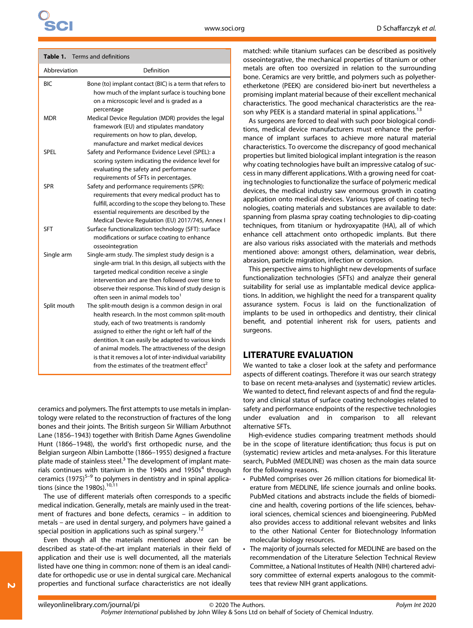| Table 1.     | Terms and definitions                                                                                                                                                                                                                                                                                                                                                                                                                      |
|--------------|--------------------------------------------------------------------------------------------------------------------------------------------------------------------------------------------------------------------------------------------------------------------------------------------------------------------------------------------------------------------------------------------------------------------------------------------|
| Abbreviation | Definition                                                                                                                                                                                                                                                                                                                                                                                                                                 |
| BIC          | Bone (to) implant contact (BIC) is a term that refers to<br>how much of the implant surface is touching bone<br>on a microscopic level and is graded as a<br>percentage                                                                                                                                                                                                                                                                    |
| mdr          | Medical Device Regulation (MDR) provides the legal<br>framework (EU) and stipulates mandatory<br>requirements on how to plan, develop,<br>manufacture and market medical devices                                                                                                                                                                                                                                                           |
| SPEL         | Safety and Performance Evidence Level (SPEL): a<br>scoring system indicating the evidence level for<br>evaluating the safety and performance<br>requirements of SFTs in percentages.                                                                                                                                                                                                                                                       |
| SPR          | Safety and performance requirements (SPR):<br>requirements that every medical product has to<br>fulfill, according to the scope they belong to. These<br>essential requirements are described by the<br>Medical Device Regulation (EU) 2017/745, Annex I                                                                                                                                                                                   |
| <b>SFT</b>   | Surface functionalization technology (SFT): surface<br>modifications or surface coating to enhance<br>osseointegration                                                                                                                                                                                                                                                                                                                     |
| Single arm   | Single-arm study. The simplest study design is a<br>single-arm trial. In this design, all subjects with the<br>targeted medical condition receive a single<br>intervention and are then followed over time to<br>observe their response. This kind of study design is<br>often seen in animal models too <sup>1</sup>                                                                                                                      |
| Split mouth  | The split-mouth design is a common design in oral<br>health research. In the most common split-mouth<br>study, each of two treatments is randomly<br>assigned to either the right or left half of the<br>dentition. It can easily be adapted to various kinds<br>of animal models. The attractiveness of the design<br>is that it removes a lot of inter-individual variability<br>from the estimates of the treatment effect <sup>2</sup> |

Table 1. Terms and definitions

ceramics and polymers. The first attempts to use metals in implantology were related to the reconstruction of fractures of the long bones and their joints. The British surgeon Sir William Arbuthnot Lane (1856–1943) together with British Dame Agnes Gwendoline Hunt (1866–1948), the world's first orthopedic nurse, and the Belgian surgeon Albin Lambotte (1866–1955) designed a fracture plate made of stainless steel.<sup>3</sup> The development of implant materials continues with titanium in the 1940s and 1950s $<sup>4</sup>$  through</sup> ceramics  $(1975)^{5-9}$  to polymers in dentistry and in spinal applications (since the 1980s).<sup>10,11</sup>

The use of different materials often corresponds to a specific medical indication. Generally, metals are mainly used in the treatment of fractures and bone defects, ceramics – in addition to metals – are used in dental surgery, and polymers have gained a special position in applications such as spinal surgery.<sup>12</sup>

Even though all the materials mentioned above can be described as state-of-the-art implant materials in their field of application and their use is well documented, all the materials listed have one thing in common: none of them is an ideal candidate for orthopedic use or use in dental surgical care. Mechanical properties and functional surface characteristics are not ideally

<u>N</u>

matched: while titanium surfaces can be described as positively osseointegrative, the mechanical properties of titanium or other metals are often too oversized in relation to the surrounding bone. Ceramics are very brittle, and polymers such as polyetheretherketone (PEEK) are considered bio-inert but nevertheless a promising implant material because of their excellent mechanical characteristics. The good mechanical characteristics are the reason why PEEK is a standard material in spinal applications.<sup>13</sup>

As surgeons are forced to deal with such poor biological conditions, medical device manufacturers must enhance the performance of implant surfaces to achieve more natural material characteristics. To overcome the discrepancy of good mechanical properties but limited biological implant integration is the reason why coating technologies have built an impressive catalog of success in many different applications. With a growing need for coating technologies to functionalize the surface of polymeric medical devices, the medical industry saw enormous growth in coating application onto medical devices. Various types of coating technologies, coating materials and substances are available to date: spanning from plasma spray coating technologies to dip-coating techniques, from titanium or hydroxyapatite (HA), all of which enhance cell attachment onto orthopedic implants. But there are also various risks associated with the materials and methods mentioned above: amongst others, delamination, wear debris, abrasion, particle migration, infection or corrosion.

This perspective aims to highlight new developments of surface functionalization technologies (SFTs) and analyze their general suitability for serial use as implantable medical device applications. In addition, we highlight the need for a transparent quality assurance system. Focus is laid on the functionalization of implants to be used in orthopedics and dentistry, their clinical benefit, and potential inherent risk for users, patients and surgeons.

#### LITERATURE EVALUATION

We wanted to take a closer look at the safety and performance aspects of different coatings. Therefore it was our search strategy to base on recent meta-analyses and (systematic) review articles. We wanted to detect, find relevant aspects of and find the regulatory and clinical status of surface coating technologies related to safety and performance endpoints of the respective technologies under evaluation and in comparison to all relevant alternative SFTs.

High-evidence studies comparing treatment methods should be in the scope of literature identification; thus focus is put on (systematic) review articles and meta-analyses. For this literature search, PubMed (MEDLINE) was chosen as the main data source for the following reasons.

- PubMed comprises over 26 million citations for biomedical literature from MEDLINE, life science journals and online books. PubMed citations and abstracts include the fields of biomedicine and health, covering portions of the life sciences, behavioral sciences, chemical sciences and bioengineering. PubMed also provides access to additional relevant websites and links to the other National Center for Biotechnology Information molecular biology resources.
- The majority of journals selected for MEDLINE are based on the recommendation of the Literature Selection Technical Review Committee, a National Institutes of Health (NIH) chartered advisory committee of external experts analogous to the committees that review NIH grant applications.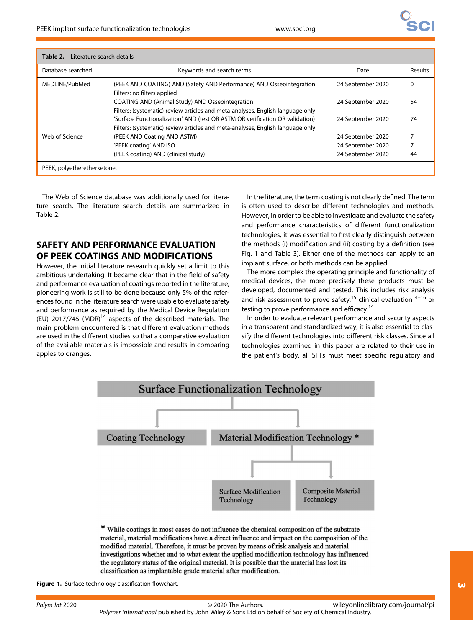| <b>Table 2.</b> Literature search details |                                                                                                                                                                |                   |         |
|-------------------------------------------|----------------------------------------------------------------------------------------------------------------------------------------------------------------|-------------------|---------|
| Database searched                         | Keywords and search terms                                                                                                                                      | Date              | Results |
| MEDLINE/PubMed                            | (PEEK AND COATING) AND (Safety AND Performance) AND Osseointegration<br>Filters: no filters applied                                                            | 24 September 2020 | 0       |
|                                           | COATING AND (Animal Study) AND Osseointegration<br>Filters: (systematic) review articles and meta-analyses, English language only                              | 24 September 2020 | 54      |
|                                           | 'Surface Functionalization' AND (test OR ASTM OR verification OR validation)<br>Filters: (systematic) review articles and meta-analyses, English language only | 24 September 2020 | 74      |
| Web of Science                            | (PEEK AND Coating AND ASTM)                                                                                                                                    | 24 September 2020 | ⇁       |
|                                           | 'PEEK coating' AND ISO                                                                                                                                         | 24 September 2020 |         |
|                                           | (PEEK coating) AND (clinical study)                                                                                                                            | 24 September 2020 | 44      |
| PEEK, polyetheretherketone.               |                                                                                                                                                                |                   |         |

The Web of Science database was additionally used for literature search. The literature search details are summarized in Table 2.

# SAFETY AND PERFORMANCE EVALUATION OF PEEK COATINGS AND MODIFICATIONS

However, the initial literature research quickly set a limit to this ambitious undertaking. It became clear that in the field of safety and performance evaluation of coatings reported in the literature, pioneering work is still to be done because only 5% of the references found in the literature search were usable to evaluate safety and performance as required by the Medical Device Regulation (EU) 2017/745 (MDR) $^{14}$  aspects of the described materials. The main problem encountered is that different evaluation methods are used in the different studies so that a comparative evaluation of the available materials is impossible and results in comparing apples to oranges.

In the literature, the term coating is not clearly defined. The term is often used to describe different technologies and methods. However, in order to be able to investigate and evaluate the safety and performance characteristics of different functionalization technologies, it was essential to first clearly distinguish between the methods (i) modification and (ii) coating by a definition (see Fig. 1 and Table 3). Either one of the methods can apply to an implant surface, or both methods can be applied.

The more complex the operating principle and functionality of medical devices, the more precisely these products must be developed, documented and tested. This includes risk analysis and risk assessment to prove safety,<sup>15</sup> clinical evaluation<sup>14–16</sup> or testing to prove performance and efficacy.<sup>14</sup>

In order to evaluate relevant performance and security aspects in a transparent and standardized way, it is also essential to classify the different technologies into different risk classes. Since all technologies examined in this paper are related to their use in the patient's body, all SFTs must meet specific regulatory and



\* While coatings in most cases do not influence the chemical composition of the substrate material, material modifications have a direct influence and impact on the composition of the modified material. Therefore, it must be proven by means of risk analysis and material investigations whether and to what extent the applied modification technology has influenced the regulatory status of the original material. It is possible that the material has lost its classification as implantable grade material after modification.

Figure 1. Surface technology classification flowchart.

[wileyonlinelibrary.com/journal/pi](http://wileyonlinelibrary.com/journal/pi)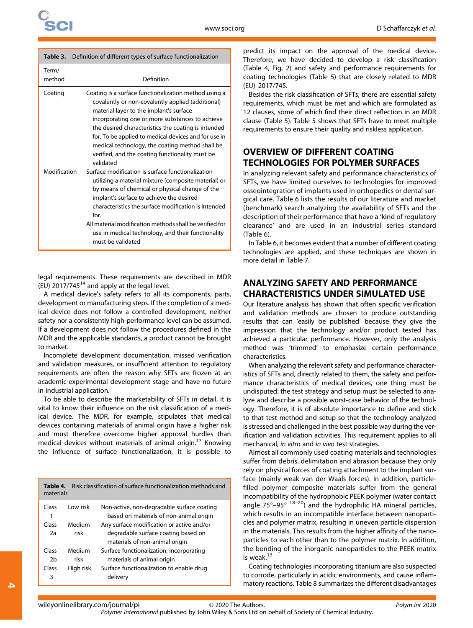|                 | Table 3. Definition of different types of surface functionalization                                                                                                                                                                                                                                                                                                                                                                        |
|-----------------|--------------------------------------------------------------------------------------------------------------------------------------------------------------------------------------------------------------------------------------------------------------------------------------------------------------------------------------------------------------------------------------------------------------------------------------------|
| Term/<br>method | Definition                                                                                                                                                                                                                                                                                                                                                                                                                                 |
| Coating         | Coating is a surface functionalization method using a<br>covalently or non-covalently applied (additional)<br>material layer to the implant's surface<br>incorporating one or more substances to achieve<br>the desired characteristics the coating is intended<br>for. To be applied to medical devices and for use in<br>medical technology, the coating method shall be<br>verified, and the coating functionality must be<br>validated |
| Modification    | Surface modification is surface functionalization<br>utilizing a material mixture (composite material) or<br>by means of chemical or physical change of the<br>implant's surface to achieve the desired<br>characteristics the surface modification is intended<br>for.<br>All material modification methods shall be verified for<br>use in medical technology, and their functionality<br>must be validated                              |

legal requirements. These requirements are described in MDR (EU) 2017/745 $^{14}$  and apply at the legal level.

A medical device's safety refers to all its components, parts, development or manufacturing steps. If the completion of a medical device does not follow a controlled development, neither safety nor a consistently high-performance level can be assumed. If a development does not follow the procedures defined in the MDR and the applicable standards, a product cannot be brought to market.

Incomplete development documentation, missed verification and validation measures, or insufficient attention to regulatory requirements are often the reason why SFTs are frozen at an academic-experimental development stage and have no future in industrial application.

To be able to describe the marketability of SFTs in detail, it is vital to know their influence on the risk classification of a medical device. The MDR, for example, stipulates that medical devices containing materials of animal origin have a higher risk and must therefore overcome higher approval hurdles than medical devices without materials of animal origin.<sup>17</sup> Knowing the influence of surface functionalization, it is possible to

| Table 4.<br>materials |           | Risk classification of surface functionalization methods and |
|-----------------------|-----------|--------------------------------------------------------------|
| Class                 | I ow risk | Non-active, non-degradable surface coating                   |
| 1                     |           | based on materials of non-animal origin                      |
| Class                 | Medium    | Any surface modification or active and/or                    |
| 2a                    | risk      | degradable surface coating based on                          |
|                       |           | materials of non-animal origin                               |
| Class                 | Medium    | Surface functionalization, incorporating                     |
| 2b                    | risk      | materials of animal origin                                   |
| Class                 | High risk | Surface functionalization to enable drug                     |
| 3                     |           | delivery                                                     |
|                       |           |                                                              |

predict its impact on the approval of the medical device. Therefore, we have decided to develop a risk classification (Table 4, Fig. 2) and safety and performance requirements for coating technologies (Table 5) that are closely related to MDR (EU) 2017/745.

Besides the risk classification of SFTs, there are essential safety requirements, which must be met and which are formulated as 12 clauses, some of which find their direct reflection in an MDR clause (Table 5). Table 5 shows that SFTs have to meet multiple requirements to ensure their quality and riskless application.

# OVERVIEW OF DIFFERENT COATING TECHNOLOGIES FOR POLYMER SURFACES

In analyzing relevant safety and performance characteristics of SFTs, we have limited ourselves to technologies for improved osseointegration of implants used in orthopedics or dental surgical care. Table 6 lists the results of our literature and market (benchmark) search analyzing the availability of SFTs and the description of their performance that have a 'kind of regulatory clearance' and are used in an industrial series standard (Table 6).

In Table 6, it becomes evident that a number of different coating technologies are applied, and these techniques are shown in more detail in Table 7.

## ANALYZING SAFETY AND PERFORMANCE CHARACTERISTICS UNDER SIMULATED USE

Our literature analysis has shown that often specific verification and validation methods are chosen to produce outstanding results that can 'easily be published' because they give the impression that the technology and/or product tested has achieved a particular performance. However, only the analysis method was 'trimmed' to emphasize certain performance characteristics.

When analyzing the relevant safety and performance characteristics of SFTs and, directly related to them, the safety and performance characteristics of medical devices, one thing must be undisputed: the test strategy and setup must be selected to analyze and describe a possible worst-case behavior of the technology. Therefore, it is of absolute importance to define and stick to that test method and setup so that the technology analyzed is stressed and challenged in the best possible way during the verification and validation activities. This requirement applies to all mechanical, in vitro and in vivo test strategies.

Almost all commonly used coating materials and technologies suffer from debris, delimitation and abrasion because they only rely on physical forces of coating attachment to the implant surface (mainly weak van der Waals forces). In addition, particlefilled polymer composite materials suffer from the general incompatibility of the hydrophobic PEEK polymer (water contact angle  $75^{\circ}$ –95 $^{\circ}$  <sup>18–20</sup>) and the hydrophilic HA mineral particles, which results in an incompatible interface between nanoparticles and polymer matrix, resulting in uneven particle dispersion in the materials. This results from the higher affinity of the nanoparticles to each other than to the polymer matrix. In addition, the bonding of the inorganic nanoparticles to the PEEK matrix is weak.<sup>13</sup>

Coating technologies incorporating titanium are also suspected to corrode, particularly in acidic environments, and cause inflammatory reactions. Table 8 summarizes the different disadvantages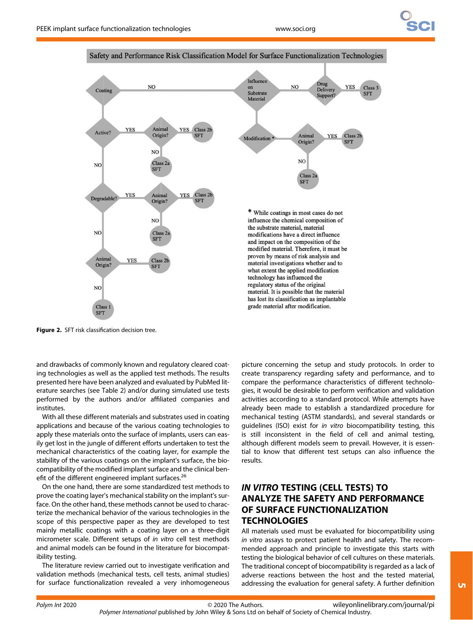

Safety and Performance Risk Classification Model for Surface Functionalization Technologies

Figure 2. SFT risk classification decision tree.

and drawbacks of commonly known and regulatory cleared coating technologies as well as the applied test methods. The results presented here have been analyzed and evaluated by PubMed literature searches (see Table 2) and/or during simulated use tests performed by the authors and/or affiliated companies and institutes.

With all these different materials and substrates used in coating applications and because of the various coating technologies to apply these materials onto the surface of implants, users can easily get lost in the jungle of different efforts undertaken to test the mechanical characteristics of the coating layer, for example the stability of the various coatings on the implant's surface, the biocompatibility of the modified implant surface and the clinical benefit of the different engineered implant surfaces.<sup>26</sup>

On the one hand, there are some standardized test methods to prove the coating layer's mechanical stability on the implant's surface. On the other hand, these methods cannot be used to characterize the mechanical behavior of the various technologies in the scope of this perspective paper as they are developed to test mainly metallic coatings with a coating layer on a three-digit micrometer scale. Different setups of in vitro cell test methods and animal models can be found in the literature for biocompatibility testing.

The literature review carried out to investigate verification and validation methods (mechanical tests, cell tests, animal studies) for surface functionalization revealed a very inhomogeneous picture concerning the setup and study protocols. In order to create transparency regarding safety and performance, and to compare the performance characteristics of different technologies, it would be desirable to perform verification and validation activities according to a standard protocol. While attempts have already been made to establish a standardized procedure for mechanical testing (ASTM standards), and several standards or guidelines (ISO) exist for in vitro biocompatibility testing, this is still inconsistent in the field of cell and animal testing, although different models seem to prevail. However, it is essential to know that different test setups can also influence the results.

# IN VITRO TESTING (CELL TESTS) TO ANALYZE THE SAFETY AND PERFORMANCE OF SURFACE FUNCTIONALIZATION **TECHNOLOGIES**

All materials used must be evaluated for biocompatibility using in vitro assays to protect patient health and safety. The recommended approach and principle to investigate this starts with testing the biological behavior of cell cultures on these materials. The traditional concept of biocompatibility is regarded as a lack of adverse reactions between the host and the tested material, addressing the evaluation for general safety. A further definition

 $\overline{u}$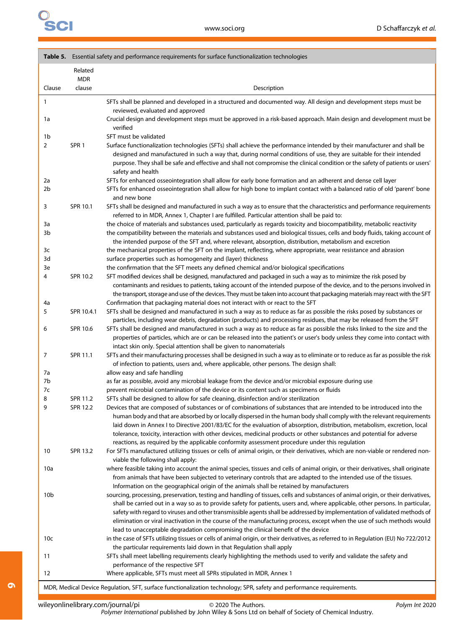|          |                  | Table 5. Essential safety and performance requirements for surface functionalization technologies                                                                                                                                                                                                                                                                                                                                                                              |  |  |
|----------|------------------|--------------------------------------------------------------------------------------------------------------------------------------------------------------------------------------------------------------------------------------------------------------------------------------------------------------------------------------------------------------------------------------------------------------------------------------------------------------------------------|--|--|
|          | Related          |                                                                                                                                                                                                                                                                                                                                                                                                                                                                                |  |  |
|          | <b>MDR</b>       |                                                                                                                                                                                                                                                                                                                                                                                                                                                                                |  |  |
| Clause   | clause           | Description                                                                                                                                                                                                                                                                                                                                                                                                                                                                    |  |  |
| 1        |                  | SFTs shall be planned and developed in a structured and documented way. All design and development steps must be<br>reviewed, evaluated and approved                                                                                                                                                                                                                                                                                                                           |  |  |
| 1a       |                  | Crucial design and development steps must be approved in a risk-based approach. Main design and development must be<br>verified                                                                                                                                                                                                                                                                                                                                                |  |  |
| 1b       |                  | SFT must be validated                                                                                                                                                                                                                                                                                                                                                                                                                                                          |  |  |
| 2        | SPR <sub>1</sub> | Surface functionalization technologies (SFTs) shall achieve the performance intended by their manufacturer and shall be<br>designed and manufactured in such a way that, during normal conditions of use, they are suitable for their intended<br>purpose. They shall be safe and effective and shall not compromise the clinical condition or the safety of patients or users'<br>safety and health                                                                           |  |  |
| 2a       |                  | SFTs for enhanced osseointegration shall allow for early bone formation and an adherent and dense cell layer                                                                                                                                                                                                                                                                                                                                                                   |  |  |
| 2b       |                  | SFTs for enhanced osseointegration shall allow for high bone to implant contact with a balanced ratio of old 'parent' bone<br>and new bone                                                                                                                                                                                                                                                                                                                                     |  |  |
| 3        | SPR 10.1         | SFTs shall be designed and manufactured in such a way as to ensure that the characteristics and performance requirements<br>referred to in MDR, Annex 1, Chapter I are fulfilled. Particular attention shall be paid to:                                                                                                                                                                                                                                                       |  |  |
| 3a       |                  | the choice of materials and substances used, particularly as regards toxicity and biocompatibility, metabolic reactivity                                                                                                                                                                                                                                                                                                                                                       |  |  |
| 3b       |                  | the compatibility between the materials and substances used and biological tissues, cells and body fluids, taking account of<br>the intended purpose of the SFT and, where relevant, absorption, distribution, metabolism and excretion                                                                                                                                                                                                                                        |  |  |
| 3c       |                  | the mechanical properties of the SFT on the implant, reflecting, where appropriate, wear resistance and abrasion                                                                                                                                                                                                                                                                                                                                                               |  |  |
| 3d<br>3e |                  | surface properties such as homogeneity and (layer) thickness<br>the confirmation that the SFT meets any defined chemical and/or biological specifications                                                                                                                                                                                                                                                                                                                      |  |  |
| 4        | SPR 10.2         | SFT modified devices shall be designed, manufactured and packaged in such a way as to minimize the risk posed by<br>contaminants and residues to patients, taking account of the intended purpose of the device, and to the persons involved in                                                                                                                                                                                                                                |  |  |
| 4a       |                  | the transport, storage and use of the devices. They must be taken into account that packaging materials may react with the SFT<br>Confirmation that packaging material does not interact with or react to the SFT                                                                                                                                                                                                                                                              |  |  |
| 5        | SPR 10.4.1       | SFTs shall be designed and manufactured in such a way as to reduce as far as possible the risks posed by substances or                                                                                                                                                                                                                                                                                                                                                         |  |  |
|          |                  | particles, including wear debris, degradation (products) and processing residues, that may be released from the SFT                                                                                                                                                                                                                                                                                                                                                            |  |  |
| 6        | SPR 10.6         | SFTs shall be designed and manufactured in such a way as to reduce as far as possible the risks linked to the size and the<br>properties of particles, which are or can be released into the patient's or user's body unless they come into contact with<br>intact skin only. Special attention shall be given to nanomaterials                                                                                                                                                |  |  |
| 7        | SPR 11.1         | SFTs and their manufacturing processes shall be designed in such a way as to eliminate or to reduce as far as possible the risk<br>of infection to patients, users and, where applicable, other persons. The design shall:                                                                                                                                                                                                                                                     |  |  |
| 7a       |                  | allow easy and safe handling                                                                                                                                                                                                                                                                                                                                                                                                                                                   |  |  |
| 7b<br>7c |                  | as far as possible, avoid any microbial leakage from the device and/or microbial exposure during use<br>prevent microbial contamination of the device or its content such as specimens or fluids                                                                                                                                                                                                                                                                               |  |  |
| 8        | SPR 11.2         | SFTs shall be designed to allow for safe cleaning, disinfection and/or sterilization                                                                                                                                                                                                                                                                                                                                                                                           |  |  |
| 9        | <b>SPR 12.2</b>  | Devices that are composed of substances or of combinations of substances that are intended to be introduced into the                                                                                                                                                                                                                                                                                                                                                           |  |  |
|          |                  | human body and that are absorbed by or locally dispersed in the human body shall comply with the relevant requirements<br>laid down in Annex I to Directive 2001/83/EC for the evaluation of absorption, distribution, metabolism, excretion, local<br>tolerance, toxicity, interaction with other devices, medicinal products or other substances and potential for adverse<br>reactions, as required by the applicable conformity assessment procedure under this regulation |  |  |
| 10       | SPR 13.2         | For SFTs manufactured utilizing tissues or cells of animal origin, or their derivatives, which are non-viable or rendered non-<br>viable the following shall apply:                                                                                                                                                                                                                                                                                                            |  |  |
| 10a      |                  | where feasible taking into account the animal species, tissues and cells of animal origin, or their derivatives, shall originate<br>from animals that have been subjected to veterinary controls that are adapted to the intended use of the tissues.<br>Information on the geographical origin of the animals shall be retained by manufacturers                                                                                                                              |  |  |
| 10b      |                  | sourcing, processing, preservation, testing and handling of tissues, cells and substances of animal origin, or their derivatives,                                                                                                                                                                                                                                                                                                                                              |  |  |
|          |                  | shall be carried out in a way so as to provide safety for patients, users and, where applicable, other persons. In particular,                                                                                                                                                                                                                                                                                                                                                 |  |  |
|          |                  | safety with regard to viruses and other transmissible agents shall be addressed by implementation of validated methods of<br>elimination or viral inactivation in the course of the manufacturing process, except when the use of such methods would<br>lead to unacceptable degradation compromising the clinical benefit of the device                                                                                                                                       |  |  |
| 10c      |                  | in the case of SFTs utilizing tissues or cells of animal origin, or their derivatives, as referred to in Regulation (EU) No 722/2012                                                                                                                                                                                                                                                                                                                                           |  |  |
| 11       |                  | the particular requirements laid down in that Regulation shall apply<br>SFTs shall meet labelling requirements clearly highlighting the methods used to verify and validate the safety and                                                                                                                                                                                                                                                                                     |  |  |
| 12       |                  | performance of the respective SFT<br>Where applicable, SFTs must meet all SPRs stipulated in MDR, Annex 1                                                                                                                                                                                                                                                                                                                                                                      |  |  |
|          |                  |                                                                                                                                                                                                                                                                                                                                                                                                                                                                                |  |  |

MDR, Medical Device Regulation, SFT, surface functionalization technology; SPR, safety and performance requirements.

6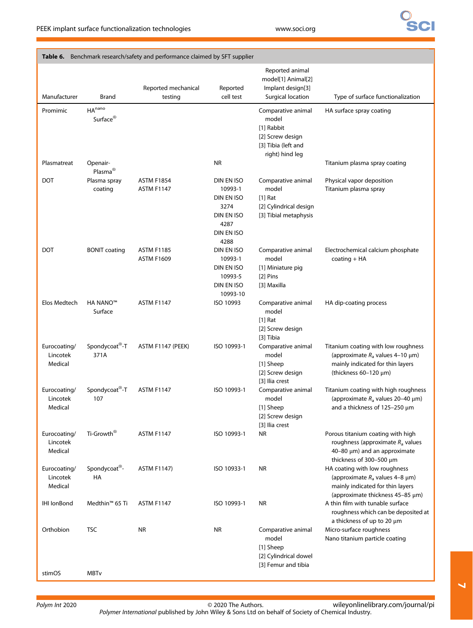# **Sci**

| Manufacturer                        | <b>Brand</b>                               | Reported mechanical<br>testing         | Reported<br>cell test                                                                   | Reported animal<br>model[1] Animal[2]<br>Implant design[3]<br>Surgical location                         | Type of surface functionalization                                                                                                                 |
|-------------------------------------|--------------------------------------------|----------------------------------------|-----------------------------------------------------------------------------------------|---------------------------------------------------------------------------------------------------------|---------------------------------------------------------------------------------------------------------------------------------------------------|
| Promimic                            | HA <sup>nano</sup><br>Surface <sup>®</sup> |                                        |                                                                                         | Comparative animal<br>model<br>[1] Rabbit<br>[2] Screw design<br>[3] Tibia (left and<br>right) hind leg | HA surface spray coating                                                                                                                          |
| Plasmatreat                         | Openair-<br>Plasma®                        |                                        | <b>NR</b>                                                                               |                                                                                                         | Titanium plasma spray coating                                                                                                                     |
| <b>DOT</b>                          | Plasma spray<br>coating                    | <b>ASTM F1854</b><br><b>ASTM F1147</b> | DIN EN ISO<br>10993-1<br>DIN EN ISO<br>3274<br>DIN EN ISO<br>4287<br>DIN EN ISO<br>4288 | Comparative animal<br>model<br>$[1]$ Rat<br>[2] Cylindrical design<br>[3] Tibial metaphysis             | Physical vapor deposition<br>Titanium plasma spray                                                                                                |
| <b>DOT</b>                          | <b>BONIT coating</b>                       | <b>ASTM F1185</b><br><b>ASTM F1609</b> | DIN EN ISO<br>10993-1<br>DIN EN ISO<br>10993-5<br>DIN EN ISO<br>10993-10                | Comparative animal<br>model<br>[1] Miniature pig<br>[2] Pins<br>[3] Maxilla                             | Electrochemical calcium phosphate<br>$coating + HA$                                                                                               |
| Elos Medtech                        | <b>HA NANO™</b><br>Surface                 | <b>ASTM F1147</b>                      | ISO 10993                                                                               | Comparative animal<br>model<br>$[1]$ Rat<br>[2] Screw design<br>[3] Tibia                               | HA dip-coating process                                                                                                                            |
| Eurocoating/<br>Lincotek<br>Medical | Spondycoat <sup>®</sup> -T<br>371A         | ASTM F1147 (PEEK)                      | ISO 10993-1                                                                             | Comparative animal<br>model<br>[1] Sheep<br>[2] Screw design<br>[3] Ilia crest                          | Titanium coating with low roughness<br>(approximate $R_a$ values 4-10 $\mu$ m)<br>mainly indicated for thin layers<br>(thickness $60-120 \mu m$ ) |
| Eurocoating/<br>Lincotek<br>Medical | Spondycoat <sup>®</sup> -T<br>107          | <b>ASTM F1147</b>                      | ISO 10993-1                                                                             | Comparative animal<br>model<br>[1] Sheep<br>[2] Screw design<br>[3] Ilia crest                          | Titanium coating with high roughness<br>(approximate $R_a$ values 20–40 $\mu$ m)<br>and a thickness of $125-250 \ \mu m$                          |
| Eurocoating/<br>Lincotek<br>Medical | Ti-Growth®                                 | <b>ASTM F1147</b>                      | ISO 10993-1                                                                             | <b>NR</b>                                                                                               | Porous titanium coating with high<br>roughness (approximate $R_a$ values<br>40-80 $\mu$ m) and an approximate<br>thickness of 300-500 µm          |
| Eurocoating/<br>Lincotek<br>Medical | Spondycoat®-<br>HA                         | <b>ASTM F1147)</b>                     | ISO 10933-1                                                                             | <b>NR</b>                                                                                               | HA coating with low roughness<br>(approximate $R_a$ values 4–8 µm)<br>mainly indicated for thin layers<br>(approximate thickness 45-85 µm)        |
| <b>IHI IonBond</b>                  | Medthin <sup>™</sup> 65 Ti                 | <b>ASTM F1147</b>                      | ISO 10993-1                                                                             | <b>NR</b>                                                                                               | A thin film with tunable surface<br>roughness which can be deposited at<br>a thickness of up to 20 $\mu$ m                                        |
| Orthobion                           | <b>TSC</b>                                 | <b>NR</b>                              | <b>NR</b>                                                                               | Comparative animal<br>model<br>[1] Sheep<br>[2] Cylindrical dowel<br>[3] Femur and tibia                | Micro-surface roughness<br>Nano titanium particle coating                                                                                         |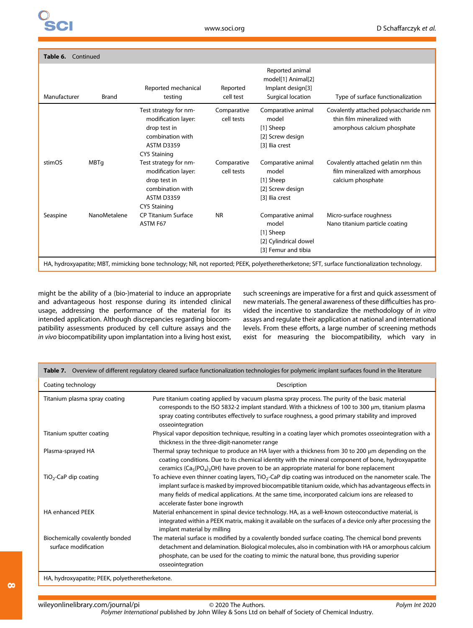| Table 6.<br>Continued |                                                                                                                                              |                                                                                                                              |                           |                                                                                          |                                                                                                    |
|-----------------------|----------------------------------------------------------------------------------------------------------------------------------------------|------------------------------------------------------------------------------------------------------------------------------|---------------------------|------------------------------------------------------------------------------------------|----------------------------------------------------------------------------------------------------|
| Manufacturer          | Brand                                                                                                                                        | Reported mechanical<br>testing                                                                                               | Reported<br>cell test     | Reported animal<br>model[1] Animal[2]<br>Implant design[3]<br>Surgical location          | Type of surface functionalization                                                                  |
|                       |                                                                                                                                              | Test strategy for nm-<br>modification layer:<br>drop test in<br>combination with<br><b>ASTM D3359</b><br><b>CY5 Staining</b> | Comparative<br>cell tests | Comparative animal<br>model<br>[1] Sheep<br>[2] Screw design<br>[3] Ilia crest           | Covalently attached polysaccharide nm<br>thin film mineralized with<br>amorphous calcium phosphate |
| stimOS                | <b>MBTq</b>                                                                                                                                  | Test strategy for nm-<br>modification layer:<br>drop test in<br>combination with<br><b>ASTM D3359</b><br><b>CY5 Staining</b> | Comparative<br>cell tests | Comparative animal<br>model<br>[1] Sheep<br>[2] Screw design<br>[3] Ilia crest           | Covalently attached gelatin nm thin<br>film mineralized with amorphous<br>calcium phosphate        |
| Seaspine              | NanoMetalene                                                                                                                                 | <b>CP Titanium Surface</b><br>ASTM F67                                                                                       | <b>NR</b>                 | Comparative animal<br>model<br>[1] Sheep<br>[2] Cylindrical dowel<br>[3] Femur and tibia | Micro-surface roughness<br>Nano titanium particle coating                                          |
|                       | HA, hydroxyapatite; MBT, mimicking bone technology; NR, not reported; PEEK, polyetheretherketone; SFT, surface functionalization technology. |                                                                                                                              |                           |                                                                                          |                                                                                                    |

might be the ability of a (bio-)material to induce an appropriate and advantageous host response during its intended clinical usage, addressing the performance of the material for its intended application. Although discrepancies regarding biocompatibility assessments produced by cell culture assays and the in vivo biocompatibility upon implantation into a living host exist,

such screenings are imperative for a first and quick assessment of new materials. The general awareness of these difficulties has provided the incentive to standardize the methodology of in vitro assays and regulate their application at national and international levels. From these efforts, a large number of screening methods exist for measuring the biocompatibility, which vary in

|                                                         | Table 7. Overview of different regulatory cleared surface functionalization technologies for polymeric implant surfaces found in the literature                                                                                                                                                                                                                      |
|---------------------------------------------------------|----------------------------------------------------------------------------------------------------------------------------------------------------------------------------------------------------------------------------------------------------------------------------------------------------------------------------------------------------------------------|
| Coating technology                                      | Description                                                                                                                                                                                                                                                                                                                                                          |
| Titanium plasma spray coating                           | Pure titanium coating applied by vacuum plasma spray process. The purity of the basic material<br>corresponds to the ISO 5832-2 implant standard. With a thickness of 100 to 300 $\mu$ m, titanium plasma<br>spray coating contributes effectively to surface roughness, a good primary stability and improved<br>osseointegration                                   |
| Titanium sputter coating                                | Physical vapor deposition technique, resulting in a coating layer which promotes osseointegration with a<br>thickness in the three-digit-nanometer range                                                                                                                                                                                                             |
| Plasma-sprayed HA                                       | Thermal spray technique to produce an HA layer with a thickness from 30 to 200 $\mu$ m depending on the<br>coating conditions. Due to its chemical identity with the mineral component of bone, hydroxyapatite<br>ceramics ( $Ca5(PO4)3OH$ ) have proven to be an appropriate material for bone replacement                                                          |
| TiO <sub>2</sub> -CaP dip coating                       | To achieve even thinner coating layers, TiO <sub>2</sub> -CaP dip coating was introduced on the nanometer scale. The<br>implant surface is masked by improved biocompatible titanium oxide, which has advantageous effects in<br>many fields of medical applications. At the same time, incorporated calcium ions are released to<br>accelerate faster bone ingrowth |
| <b>HA enhanced PEEK</b>                                 | Material enhancement in spinal device technology. HA, as a well-known osteoconductive material, is<br>integrated within a PEEK matrix, making it available on the surfaces of a device only after processing the<br>implant material by milling                                                                                                                      |
| Biochemically covalently bonded<br>surface modification | The material surface is modified by a covalently bonded surface coating. The chemical bond prevents<br>detachment and delamination. Biological molecules, also in combination with HA or amorphous calcium<br>phosphate, can be used for the coating to mimic the natural bone, thus providing superior<br>osseointegration                                          |
| HA, hydroxyapatite; PEEK, polyetheretherketone.         |                                                                                                                                                                                                                                                                                                                                                                      |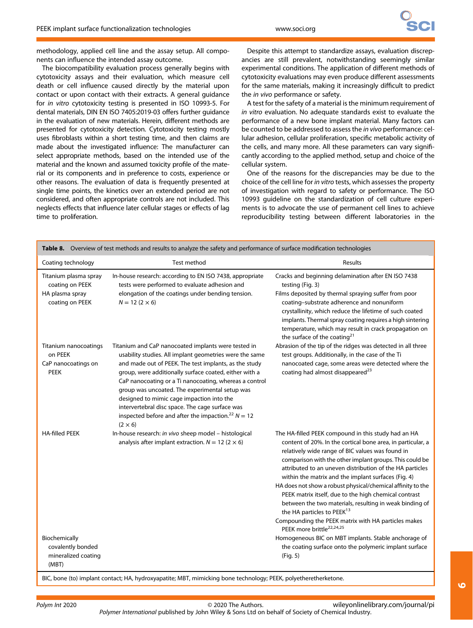methodology, applied cell line and the assay setup. All components can influence the intended assay outcome.

The biocompatibility evaluation process generally begins with cytotoxicity assays and their evaluation, which measure cell death or cell influence caused directly by the material upon contact or upon contact with their extracts. A general guidance for in vitro cytotoxicity testing is presented in ISO 10993-5. For dental materials, DIN EN ISO 7405:2019-03 offers further guidance in the evaluation of new materials. Herein, different methods are presented for cytotoxicity detection. Cytotoxicity testing mostly uses fibroblasts within a short testing time, and then claims are made about the investigated influence: The manufacturer can select appropriate methods, based on the intended use of the material and the known and assumed toxicity profile of the material or its components and in preference to costs, experience or other reasons. The evaluation of data is frequently presented at single time points, the kinetics over an extended period are not considered, and often appropriate controls are not included. This neglects effects that influence later cellular stages or effects of lag time to proliferation.

Despite this attempt to standardize assays, evaluation discrepancies are still prevalent, notwithstanding seemingly similar experimental conditions. The application of different methods of cytotoxicity evaluations may even produce different assessments for the same materials, making it increasingly difficult to predict the in vivo performance or safety.

A test for the safety of a material is the minimum requirement of in vitro evaluation. No adequate standards exist to evaluate the performance of a new bone implant material. Many factors can be counted to be addressed to assess the in vivo performance: cellular adhesion, cellular proliferation, specific metabolic activity of the cells, and many more. All these parameters can vary significantly according to the applied method, setup and choice of the cellular system.

One of the reasons for the discrepancies may be due to the choice of the cell line for in vitro tests, which assesses the property of investigation with regard to safety or performance. The ISO 10993 guideline on the standardization of cell culture experiments is to advocate the use of permanent cell lines to achieve reproducibility testing between different laboratories in the

| Table 8. Overview of test methods and results to analyze the safety and performance of surface modification technologies |                                                                                                                                                                                                                                                                                                                                                                                                                                                                                                                                     |                                                                                                                                                                                                                                                                                                                                                                                                                                                                                                                                                                                                                                                                                   |  |
|--------------------------------------------------------------------------------------------------------------------------|-------------------------------------------------------------------------------------------------------------------------------------------------------------------------------------------------------------------------------------------------------------------------------------------------------------------------------------------------------------------------------------------------------------------------------------------------------------------------------------------------------------------------------------|-----------------------------------------------------------------------------------------------------------------------------------------------------------------------------------------------------------------------------------------------------------------------------------------------------------------------------------------------------------------------------------------------------------------------------------------------------------------------------------------------------------------------------------------------------------------------------------------------------------------------------------------------------------------------------------|--|
| Coating technology                                                                                                       | Test method                                                                                                                                                                                                                                                                                                                                                                                                                                                                                                                         | <b>Results</b>                                                                                                                                                                                                                                                                                                                                                                                                                                                                                                                                                                                                                                                                    |  |
| Titanium plasma spray<br>coating on PEEK<br>HA plasma spray<br>coating on PEEK                                           | In-house research: according to EN ISO 7438, appropriate<br>tests were performed to evaluate adhesion and<br>elongation of the coatings under bending tension.<br>$N = 12 (2 \times 6)$                                                                                                                                                                                                                                                                                                                                             | Cracks and beginning delamination after EN ISO 7438<br>testing (Fig. 3)<br>Films deposited by thermal spraying suffer from poor<br>coating-substrate adherence and nonuniform<br>crystallinity, which reduce the lifetime of such coated<br>implants. Thermal spray coating requires a high sintering<br>temperature, which may result in crack propagation on<br>the surface of the coating <sup>21</sup>                                                                                                                                                                                                                                                                        |  |
| Titanium nanocoatings<br>on PEEK<br>CaP nanocoatings on<br><b>PEEK</b>                                                   | Titanium and CaP nanocoated implants were tested in<br>usability studies. All implant geometries were the same<br>and made out of PEEK. The test implants, as the study<br>group, were additionally surface coated, either with a<br>CaP nanocoating or a Ti nanocoating, whereas a control<br>group was uncoated. The experimental setup was<br>designed to mimic cage impaction into the<br>intervertebral disc space. The cage surface was<br>inspected before and after the impaction. <sup>22</sup> $N = 12$<br>$(2 \times 6)$ | Abrasion of the tip of the ridges was detected in all three<br>test groups. Additionally, in the case of the Ti<br>nanocoated cage, some areas were detected where the<br>coating had almost disappeared <sup>23</sup>                                                                                                                                                                                                                                                                                                                                                                                                                                                            |  |
| <b>HA-filled PEEK</b>                                                                                                    | In-house research: in vivo sheep model - histological<br>analysis after implant extraction. $N = 12$ (2 $\times$ 6)                                                                                                                                                                                                                                                                                                                                                                                                                 | The HA-filled PEEK compound in this study had an HA<br>content of 20%. In the cortical bone area, in particular, a<br>relatively wide range of BIC values was found in<br>comparison with the other implant groups. This could be<br>attributed to an uneven distribution of the HA particles<br>within the matrix and the implant surfaces (Fig. 4)<br>HA does not show a robust physical/chemical affinity to the<br>PEEK matrix itself, due to the high chemical contrast<br>between the two materials, resulting in weak binding of<br>the HA particles to PEEK <sup>13</sup><br>Compounding the PEEK matrix with HA particles makes<br>PEEK more brittle <sup>22,24,25</sup> |  |
| Biochemically<br>covalently bonded<br>mineralized coating<br>(MBT)                                                       | BIC, bone (to) implant contact; HA, hydroxyapatite; MBT, mimicking bone technology; PEEK, polyetheretherketone.                                                                                                                                                                                                                                                                                                                                                                                                                     | Homogeneous BIC on MBT implants. Stable anchorage of<br>the coating surface onto the polymeric implant surface<br>(Fig. 5)                                                                                                                                                                                                                                                                                                                                                                                                                                                                                                                                                        |  |

Polym Int 2020 **CONTACT CONTACT CONTACT CONTACT CONTACT CONTACT CONTACT CONTACT CONTACT CONTACT CONTACT CONTACT CONTACT CONTACT CONTACT CONTACT CONTACT CONTACT CONTACT CONTACT CONTACT CONTACT CONTACT CONTACT CONTACT CONTAC** Polymer International published by John Wiley & Sons Ltd on behalf of Society of Chemical Industry. [wileyonlinelibrary.com/journal/pi](http://wileyonlinelibrary.com/journal/pi)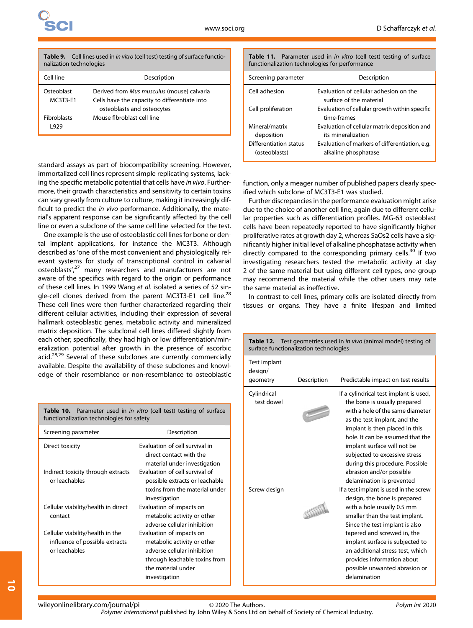| <b>Table 9.</b> Cell lines used in <i>in vitro</i> (cell test) testing of surface functio- |
|--------------------------------------------------------------------------------------------|
| nalization technologies                                                                    |

| Cell line          | Description                                   |
|--------------------|-----------------------------------------------|
| Osteoblast         | Derived from Mus musculus (mouse) calvaria    |
| MC3T3-E1           | Cells have the capacity to differentiate into |
| <b>Fibroblasts</b> | osteoblasts and osteocytes                    |
| 1929               | Mouse fibroblast cell line                    |

standard assays as part of biocompatibility screening. However, immortalized cell lines represent simple replicating systems, lacking the specific metabolic potential that cells have in vivo. Furthermore, their growth characteristics and sensitivity to certain toxins can vary greatly from culture to culture, making it increasingly difficult to predict the in vivo performance. Additionally, the material's apparent response can be significantly affected by the cell line or even a subclone of the same cell line selected for the test.

One example is the use of osteoblastic cell lines for bone or dental implant applications, for instance the MC3T3. Although described as 'one of the most convenient and physiologically relevant systems for study of transcriptional control in calvarial osteoblasts',<sup>27</sup> many researchers and manufacturers are not aware of the specifics with regard to the origin or performance of these cell lines. In 1999 Wang et al. isolated a series of 52 single-cell clones derived from the parent MC3T3-E1 cell line.<sup>28</sup> These cell lines were then further characterized regarding their different cellular activities, including their expression of several hallmark osteoblastic genes, metabolic activity and mineralized matrix deposition. The subclonal cell lines differed slightly from each other; specifically, they had high or low differentiation/mineralization potential after growth in the presence of ascorbic acid.<sup>28,29</sup> Several of these subclones are currently commercially available. Despite the availability of these subclones and knowledge of their resemblance or non-resemblance to osteoblastic

Table 11. Parameter used in in vitro (cell test) testing of surface functionalization technologies for performance

| Screening parameter                                                     | Description                                                                                                                                  |
|-------------------------------------------------------------------------|----------------------------------------------------------------------------------------------------------------------------------------------|
| Cell adhesion                                                           | Evaluation of cellular adhesion on the<br>surface of the material                                                                            |
| Cell proliferation                                                      | Evaluation of cellular growth within specific<br>time-frames                                                                                 |
| Mineral/matrix<br>deposition<br>Differentiation status<br>(osteoblasts) | Evaluation of cellular matrix deposition and<br>its mineralization<br>Evaluation of markers of differentiation, e.g.<br>alkaline phosphatase |

function, only a meager number of published papers clearly specified which subclone of MC3T3-E1 was studied.

Further discrepancies in the performance evaluation might arise due to the choice of another cell line, again due to different cellular properties such as differentiation profiles. MG-63 osteoblast cells have been repeatedly reported to have significantly higher proliferative rates at growth day 2, whereas SaOs2 cells have a significantly higher initial level of alkaline phosphatase activity when directly compared to the corresponding primary cells.<sup>30</sup> If two investigating researchers tested the metabolic activity at day 2 of the same material but using different cell types, one group may recommend the material while the other users may rate the same material as ineffective.

In contrast to cell lines, primary cells are isolated directly from tissues or organs. They have a finite lifespan and limited

| Table 12. Test geometries used in in vivo (animal model) testing of<br>surface functionalization technologies |             |                                                                                                                                                                                                                                                                                                                                                                                                                                                                                                                                                          |  |  |  |  |  |
|---------------------------------------------------------------------------------------------------------------|-------------|----------------------------------------------------------------------------------------------------------------------------------------------------------------------------------------------------------------------------------------------------------------------------------------------------------------------------------------------------------------------------------------------------------------------------------------------------------------------------------------------------------------------------------------------------------|--|--|--|--|--|
| Test implant<br>design/<br>geometry                                                                           | Description | Predictable impact on test results                                                                                                                                                                                                                                                                                                                                                                                                                                                                                                                       |  |  |  |  |  |
| Cylindrical<br>test dowel<br>Screw design                                                                     |             | If a cylindrical test implant is used,<br>the bone is usually prepared<br>with a hole of the same diameter<br>as the test implant, and the<br>implant is then placed in this<br>hole. It can be assumed that the<br>implant surface will not be<br>subjected to excessive stress<br>during this procedure. Possible<br>abrasion and/or possible<br>delamination is prevented<br>If a test implant is used in the screw<br>design, the bone is prepared<br>with a hole usually 0.5 mm<br>smaller than the test implant.<br>Since the test implant is also |  |  |  |  |  |
|                                                                                                               |             | tapered and screwed in, the<br>implant surface is subjected to<br>an additional stress test, which<br>provides information about<br>possible unwanted abrasion or<br>delamination                                                                                                                                                                                                                                                                                                                                                                        |  |  |  |  |  |

Table 10. Parameter used in *in vitro* (cell test) testing of surface functionalization technologies for safety

| Screening parameter                 | Description                    |  |  |  |  |
|-------------------------------------|--------------------------------|--|--|--|--|
| Direct toxicity                     | Evaluation of cell survival in |  |  |  |  |
|                                     | direct contact with the        |  |  |  |  |
|                                     | material under investigation   |  |  |  |  |
| Indirect toxicity through extracts  | Evaluation of cell survival of |  |  |  |  |
| or leachables                       | possible extracts or leachable |  |  |  |  |
|                                     | toxins from the material under |  |  |  |  |
|                                     | investigation                  |  |  |  |  |
| Cellular viability/health in direct | Evaluation of impacts on       |  |  |  |  |
| contact                             | metabolic activity or other    |  |  |  |  |
|                                     | adverse cellular inhibition    |  |  |  |  |
| Cellular viability/health in the    | Evaluation of impacts on       |  |  |  |  |
| influence of possible extracts      | metabolic activity or other    |  |  |  |  |
| or leachables                       | adverse cellular inhibition    |  |  |  |  |
|                                     | through leachable toxins from  |  |  |  |  |
|                                     | the material under             |  |  |  |  |
|                                     | investigation                  |  |  |  |  |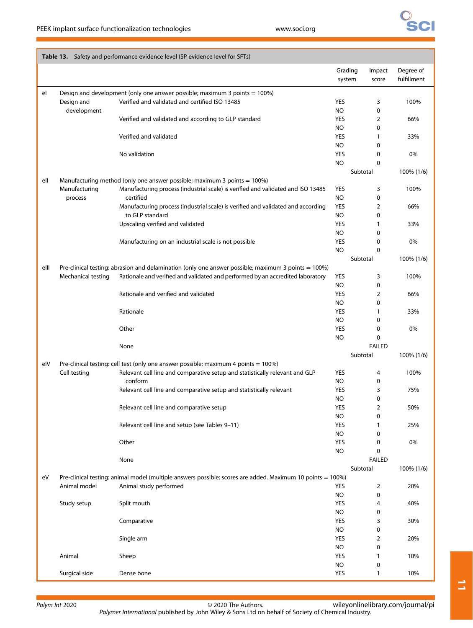|      |                    | Table 13. Safety and performance evidence level (SP evidence level for SFTs)                               |                   |               |                          |
|------|--------------------|------------------------------------------------------------------------------------------------------------|-------------------|---------------|--------------------------|
|      |                    |                                                                                                            | Grading<br>system | Impact        | Degree of<br>fulfillment |
|      |                    |                                                                                                            |                   | score         |                          |
| el   |                    | Design and development (only one answer possible; maximum 3 points = 100%)                                 |                   |               |                          |
|      | Design and         | Verified and validated and certified ISO 13485                                                             | <b>YES</b>        | 3             | 100%                     |
|      | development        |                                                                                                            | <b>NO</b>         | 0             |                          |
|      |                    | Verified and validated and according to GLP standard                                                       | <b>YES</b><br>NO  | 2<br>0        | 66%                      |
|      |                    | Verified and validated                                                                                     | YES               | 1             | 33%                      |
|      |                    |                                                                                                            | NO                | 0             |                          |
|      |                    | No validation                                                                                              | YES               | 0             | 0%                       |
|      |                    |                                                                                                            | <b>NO</b>         | 0             |                          |
|      |                    |                                                                                                            |                   | Subtotal      | 100% (1/6)               |
| ell  |                    | Manufacturing method (only one answer possible; maximum 3 points $= 100\%$ )                               |                   |               |                          |
|      | Manufacturing      | Manufacturing process (industrial scale) is verified and validated and ISO 13485                           | YES               | 3             | 100%                     |
|      | process            | certified                                                                                                  | <b>NO</b>         | 0             |                          |
|      |                    | Manufacturing process (industrial scale) is verified and validated and according                           | <b>YES</b>        | 2             | 66%                      |
|      |                    | to GLP standard                                                                                            | <b>NO</b>         | 0             |                          |
|      |                    | Upscaling verified and validated                                                                           | YES               | $\mathbf{1}$  | 33%                      |
|      |                    | Manufacturing on an industrial scale is not possible                                                       | NO<br>YES         | 0             |                          |
|      |                    |                                                                                                            | <b>NO</b>         | 0<br>0        | 0%                       |
|      |                    |                                                                                                            |                   | Subtotal      | 100% (1/6)               |
| elll |                    | Pre-clinical testing: abrasion and delamination (only one answer possible; maximum 3 points = 100%)        |                   |               |                          |
|      | Mechanical testing | Rationale and verified and validated and performed by an accredited laboratory                             | YES               | 3             | 100%                     |
|      |                    |                                                                                                            | <b>NO</b>         | 0             |                          |
|      |                    | Rationale and verified and validated                                                                       | YES               | 2             | 66%                      |
|      |                    |                                                                                                            | NO                | 0             |                          |
|      |                    | Rationale                                                                                                  | YES               | $\mathbf{1}$  | 33%                      |
|      |                    |                                                                                                            | <b>NO</b>         | 0             |                          |
|      |                    | Other                                                                                                      | <b>YES</b>        | 0             | 0%                       |
|      |                    |                                                                                                            | <b>NO</b>         | 0             |                          |
|      |                    | None                                                                                                       |                   | <b>FAILED</b> |                          |
|      |                    |                                                                                                            |                   | Subtotal      | 100% (1/6)               |
| elV  |                    | Pre-clinical testing: cell test (only one answer possible; maximum 4 points = 100%)                        | <b>YES</b>        |               |                          |
|      | Cell testing       | Relevant cell line and comparative setup and statistically relevant and GLP<br>conform                     | NO                | 4<br>0        | 100%                     |
|      |                    | Relevant cell line and comparative setup and statistically relevant                                        | YES               | 3             | 75%                      |
|      |                    |                                                                                                            | <b>NO</b>         | 0             |                          |
|      |                    | Relevant cell line and comparative setup                                                                   | YES               | 2             | 50%                      |
|      |                    |                                                                                                            | NO                | 0             |                          |
|      |                    | Relevant cell line and setup (see Tables 9-11)                                                             | <b>YES</b>        | 1             | 25%                      |
|      |                    |                                                                                                            | NO.               | 0             |                          |
|      |                    | Other                                                                                                      | YES               | 0             | 0%                       |
|      |                    |                                                                                                            | <b>NO</b>         | 0             |                          |
|      |                    | None                                                                                                       |                   | <b>FAILED</b> |                          |
|      |                    |                                                                                                            |                   | Subtotal      | 100% (1/6)               |
| eV   |                    | Pre-clinical testing: animal model (multiple answers possible; scores are added. Maximum 10 points = 100%) |                   |               |                          |
|      | Animal model       | Animal study performed                                                                                     | YES               | 2             | 20%                      |
|      |                    |                                                                                                            | NO.               | 0             |                          |
|      | Study setup        | Split mouth                                                                                                | YES<br>NO.        | 4<br>0        | 40%                      |
|      |                    | Comparative                                                                                                | YES               | 3             | 30%                      |
|      |                    |                                                                                                            | <b>NO</b>         | 0             |                          |
|      |                    | Single arm                                                                                                 | YES               | 2             | 20%                      |
|      |                    |                                                                                                            | <b>NO</b>         | 0             |                          |
|      | Animal             | Sheep                                                                                                      | YES               | 1             | 10%                      |
|      |                    |                                                                                                            | <b>NO</b>         | 0             |                          |
|      | Surgical side      | Dense bone                                                                                                 | YES               | 1             | 10%                      |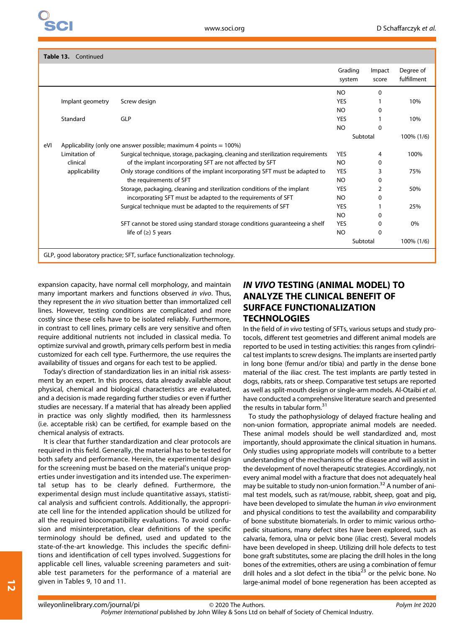| Table 13. Continued |                  |                                                                                 |                   |                 |                          |  |  |
|---------------------|------------------|---------------------------------------------------------------------------------|-------------------|-----------------|--------------------------|--|--|
|                     |                  |                                                                                 | Grading<br>system | Impact<br>score | Degree of<br>fulfillment |  |  |
|                     |                  |                                                                                 | N <sub>O</sub>    | 0               |                          |  |  |
|                     | Implant geometry | Screw design                                                                    | <b>YES</b>        |                 | 10%                      |  |  |
|                     |                  |                                                                                 | N <sub>O</sub>    | 0               |                          |  |  |
|                     | Standard         | GLP                                                                             | <b>YES</b>        |                 | 10%                      |  |  |
|                     |                  |                                                                                 | <b>NO</b>         | $\Omega$        |                          |  |  |
|                     |                  |                                                                                 |                   | Subtotal        | 100% (1/6)               |  |  |
| eVI                 |                  | Applicability (only one answer possible; maximum 4 points $= 100\%$ )           |                   |                 |                          |  |  |
|                     | Limitation of    | Surgical technique, storage, packaging, cleaning and sterilization requirements | <b>YES</b>        | 4               | 100%                     |  |  |
|                     | clinical         | of the implant incorporating SFT are not affected by SFT                        | N <sub>O</sub>    | 0               |                          |  |  |
|                     | applicability    | Only storage conditions of the implant incorporating SFT must be adapted to     | <b>YES</b>        | 3               | 75%                      |  |  |
|                     |                  | the requirements of SFT                                                         | <b>NO</b>         | $\Omega$        |                          |  |  |
|                     |                  | Storage, packaging, cleaning and sterilization conditions of the implant        | <b>YES</b>        | 2               | 50%                      |  |  |
|                     |                  | incorporating SFT must be adapted to the requirements of SFT                    | NO.               | 0               |                          |  |  |
|                     |                  | Surgical technique must be adapted to the requirements of SFT                   | <b>YES</b>        |                 | 25%                      |  |  |
|                     |                  |                                                                                 | NO                | 0               |                          |  |  |
|                     |                  | SFT cannot be stored using standard storage conditions quaranteeing a shelf     | <b>YES</b>        | 0               | 0%                       |  |  |
|                     |                  | life of $(\ge)$ 5 years                                                         | <b>NO</b>         | 0               |                          |  |  |
|                     |                  |                                                                                 |                   | Subtotal        | 100% (1/6)               |  |  |
|                     |                  | GLP, good laboratory practice; SFT, surface functionalization technology.       |                   |                 |                          |  |  |

expansion capacity, have normal cell morphology, and maintain many important markers and functions observed in vivo. Thus, they represent the in vivo situation better than immortalized cell lines. However, testing conditions are complicated and more costly since these cells have to be isolated reliably. Furthermore, in contrast to cell lines, primary cells are very sensitive and often require additional nutrients not included in classical media. To optimize survival and growth, primary cells perform best in media customized for each cell type. Furthermore, the use requires the availability of tissues and organs for each test to be applied.

Today's direction of standardization lies in an initial risk assessment by an expert. In this process, data already available about physical, chemical and biological characteristics are evaluated, and a decision is made regarding further studies or even if further studies are necessary. If a material that has already been applied in practice was only slightly modified, then its harmlessness (i.e. acceptable risk) can be certified, for example based on the chemical analysis of extracts.

It is clear that further standardization and clear protocols are required in this field. Generally, the material has to be tested for both safety and performance. Herein, the experimental design for the screening must be based on the material's unique properties under investigation and its intended use. The experimental setup has to be clearly defined. Furthermore, the experimental design must include quantitative assays, statistical analysis and sufficient controls. Additionally, the appropriate cell line for the intended application should be utilized for all the required biocompatibility evaluations. To avoid confusion and misinterpretation, clear definitions of the specific terminology should be defined, used and updated to the state-of-the-art knowledge. This includes the specific definitions and identification of cell types involved. Suggestions for applicable cell lines, valuable screening parameters and suitable test parameters for the performance of a material are given in Tables 9, 10 and 11.

# IN VIVO TESTING (ANIMAL MODEL) TO ANALYZE THE CLINICAL BENEFIT OF SURFACE FUNCTIONALIZATION **TECHNOLOGIES**

In the field of in vivo testing of SFTs, various setups and study protocols, different test geometries and different animal models are reported to be used in testing activities: this ranges from cylindrical test implants to screw designs. The implants are inserted partly in long bone (femur and/or tibia) and partly in the dense bone material of the iliac crest. The test implants are partly tested in dogs, rabbits, rats or sheep. Comparative test setups are reported as well as split-mouth design or single-arm models. Al-Otaibi et al. have conducted a comprehensive literature search and presented the results in tabular form.<sup>31</sup>

To study the pathophysiology of delayed fracture healing and non-union formation, appropriate animal models are needed. These animal models should be well standardized and, most importantly, should approximate the clinical situation in humans. Only studies using appropriate models will contribute to a better understanding of the mechanisms of the disease and will assist in the development of novel therapeutic strategies. Accordingly, not every animal model with a fracture that does not adequately heal may be suitable to study non-union formation.<sup>32</sup> A number of animal test models, such as rat/mouse, rabbit, sheep, goat and pig, have been developed to simulate the human in vivo environment and physical conditions to test the availability and comparability of bone substitute biomaterials. In order to mimic various orthopedic situations, many defect sites have been explored, such as calvaria, femora, ulna or pelvic bone (iliac crest). Several models have been developed in sheep. Utilizing drill hole defects to test bone graft substitutes, some are placing the drill holes in the long bones of the extremities, others are using a combination of femur drill holes and a slot defect in the tibia $^{23}$  or the pelvic bone. No large-animal model of bone regeneration has been accepted as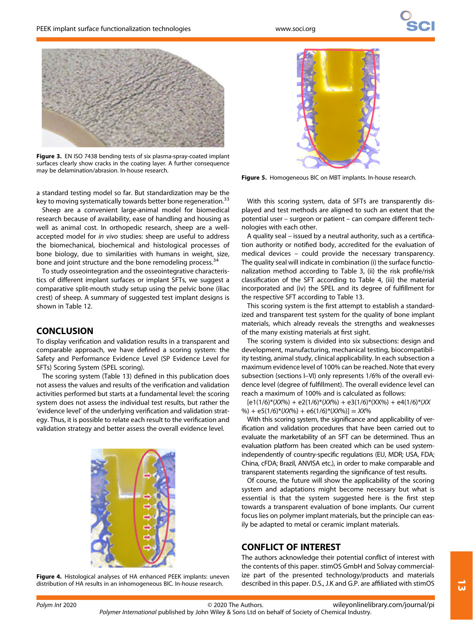

Figure 3. EN ISO 7438 bending tests of six plasma-spray-coated implant surfaces clearly show cracks in the coating layer. A further consequence may be delamination/abrasion. In-house research.

a standard testing model so far. But standardization may be the key to moving systematically towards better bone regeneration.<sup>33</sup>

Sheep are a convenient large-animal model for biomedical research because of availability, ease of handling and housing as well as animal cost. In orthopedic research, sheep are a wellaccepted model for in vivo studies: sheep are useful to address the biomechanical, biochemical and histological processes of bone biology, due to similarities with humans in weight, size, bone and joint structure and the bone remodeling process.<sup>34</sup>

To study osseointegration and the osseointegrative characteristics of different implant surfaces or implant SFTs, we suggest a comparative split-mouth study setup using the pelvic bone (iliac crest) of sheep. A summary of suggested test implant designs is shown in Table 12.

#### **CONCLUSION**

To display verification and validation results in a transparent and comparable approach, we have defined a scoring system: the Safety and Performance Evidence Level (SP Evidence Level for SFTs) Scoring System (SPEL scoring).

The scoring system (Table 13) defined in this publication does not assess the values and results of the verification and validation activities performed but starts at a fundamental level: the scoring system does not assess the individual test results, but rather the 'evidence level' of the underlying verification and validation strategy. Thus, it is possible to relate each result to the verification and validation strategy and better assess the overall evidence level.



Figure 4. Histological analyses of HA enhanced PEEK implants: uneven distribution of HA results in an inhomogeneous BIC. In-house research.



Figure 5. Homogeneous BIC on MBT implants. In-house research.

With this scoring system, data of SFTs are transparently displayed and test methods are aligned to such an extent that the potential user – surgeon or patient – can compare different technologies with each other.

A quality seal – issued by a neutral authority, such as a certification authority or notified body, accredited for the evaluation of medical devices – could provide the necessary transparency. The quality seal will indicate in combination (i) the surface functionalization method according to Table 3, (ii) the risk profile/risk classification of the SFT according to Table 4, (iii) the material incorporated and (iv) the SPEL and its degree of fulfillment for the respective SFT according to Table 13.

This scoring system is the first attempt to establish a standardized and transparent test system for the quality of bone implant materials, which already reveals the strengths and weaknesses of the many existing materials at first sight.

The scoring system is divided into six subsections: design and development, manufacturing, mechanical testing, biocompatibility testing, animal study, clinical applicability. In each subsection a maximum evidence level of 100% can be reached. Note that every subsection (sections I–VI) only represents 1/6% of the overall evidence level (degree of fulfillment). The overall evidence level can reach a maximum of 100% and is calculated as follows:

 $[e1(1/6)*(XX%) + e2(1/6)*(XX%) + e3(1/6)*(XX%) + e4(1/6)*(XX)$ %) + e5(1/6)\*(XX%) + e6(1/6)\*(XX%)] = XX%

With this scoring system, the significance and applicability of verification and validation procedures that have been carried out to evaluate the marketability of an SFT can be determined. Thus an evaluation platform has been created which can be used systemindependently of country-specific regulations (EU, MDR; USA, FDA; China, cFDA; Brazil, ANVISA etc.), in order to make comparable and transparent statements regarding the significance of test results.

Of course, the future will show the applicability of the scoring system and adaptations might become necessary but what is essential is that the system suggested here is the first step towards a transparent evaluation of bone implants. Our current focus lies on polymer implant materials, but the principle can easily be adapted to metal or ceramic implant materials.

### CONFLICT OF INTEREST

The authors acknowledge their potential conflict of interest with the contents of this paper. stimOS GmbH and Solvay commercialize part of the presented technology/products and materials described in this paper. D.S., J.K and G.P. are affiliated with stimOS

 $\omega$